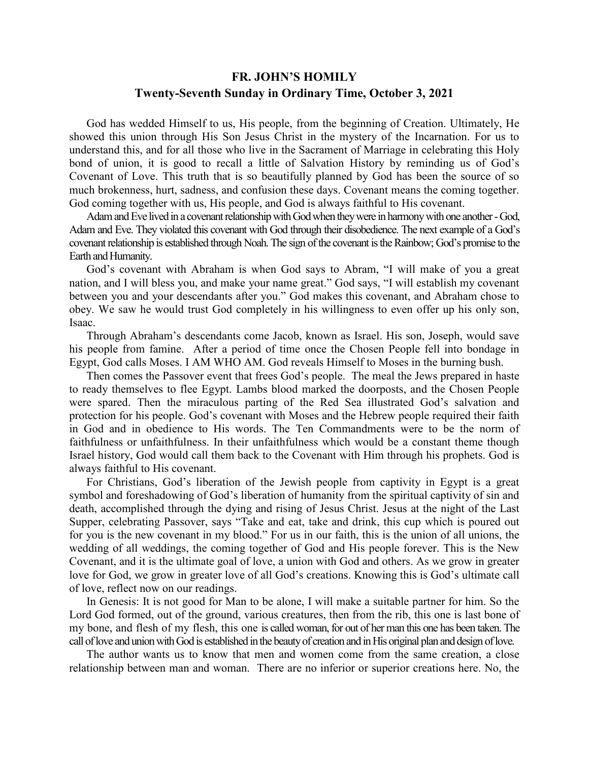## **FR. JOHN'S HOMILY Twenty-Seventh Sunday in Ordinary Time, October 3, 2021**

 God has wedded Himself to us, His people, from the beginning of Creation. Ultimately, He showed this union through His Son Jesus Christ in the mystery of the Incarnation. For us to understand this, and for all those who live in the Sacrament of Marriage in celebrating this Holy bond of union, it is good to recall a little of Salvation History by reminding us of God's Covenant of Love. This truth that is so beautifully planned by God has been the source of so much brokenness, hurt, sadness, and confusion these days. Covenant means the coming together. God coming together with us, His people, and God is always faithful to His covenant.

 Adam and Eve lived in a covenant relationship with God when they were in harmony with one another - God, Adam and Eve. They violated this covenant with God through their disobedience. The next example of a God's covenant relationship is established through Noah. The sign of the covenant is the Rainbow; God's promise to the Earth and Humanity.

 God's covenant with Abraham is when God says to Abram, "I will make of you a great nation, and I will bless you, and make your name great." God says, "I will establish my covenant between you and your descendants after you." God makes this covenant, and Abraham chose to obey. We saw he would trust God completely in his willingness to even offer up his only son, Isaac.

 Through Abraham's descendants come Jacob, known as Israel. His son, Joseph, would save his people from famine. After a period of time once the Chosen People fell into bondage in Egypt, God calls Moses. I AM WHO AM. God reveals Himself to Moses in the burning bush.

 Then comes the Passover event that frees God's people. The meal the Jews prepared in haste to ready themselves to flee Egypt. Lambs blood marked the doorposts, and the Chosen People were spared. Then the miraculous parting of the Red Sea illustrated God's salvation and protection for his people. God's covenant with Moses and the Hebrew people required their faith in God and in obedience to His words. The Ten Commandments were to be the norm of faithfulness or unfaithfulness. In their unfaithfulness which would be a constant theme though Israel history, God would call them back to the Covenant with Him through his prophets. God is always faithful to His covenant.

 For Christians, God's liberation of the Jewish people from captivity in Egypt is a great symbol and foreshadowing of God's liberation of humanity from the spiritual captivity of sin and death, accomplished through the dying and rising of Jesus Christ. Jesus at the night of the Last Supper, celebrating Passover, says "Take and eat, take and drink, this cup which is poured out for you is the new covenant in my blood." For us in our faith, this is the union of all unions, the wedding of all weddings, the coming together of God and His people forever. This is the New Covenant, and it is the ultimate goal of love, a union with God and others. As we grow in greater love for God, we grow in greater love of all God's creations. Knowing this is God's ultimate call of love, reflect now on our readings.

 In Genesis: It is not good for Man to be alone, I will make a suitable partner for him. So the Lord God formed, out of the ground, various creatures, then from the rib, this one is last bone of my bone, and flesh of my flesh, this one is called woman, for out of her man this one has been taken. The call of love and union with God is established in the beauty of creation and in His original plan and design of love.

 The author wants us to know that men and women come from the same creation, a close relationship between man and woman. There are no inferior or superior creations here. No, the